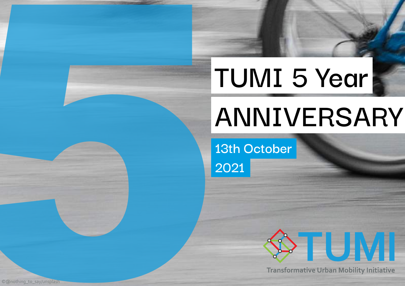# **TUMI 5 Year**

# **ANNIVERSARY 2021**<br> **2021**<br> **2021**<br> **2021**

LE LAVALI

©@nothing\_to\_say/unsplash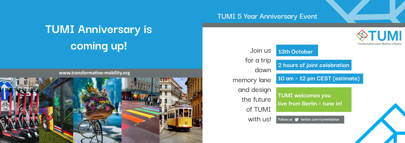# **TUMI Anniversary is coming up!**

**www.transformative-mobility.org**

**13th October 2 hours of joint celebration**  Join us for a trip down memory lane and design the future of TUMI with us! **TUMI welcomes you live from Berlin > tune in! 10 am – 12 pm CEST (estimate) Follow us V** twitter.com/tuminitiative









# **TUMI 5 Year Anniversary Event**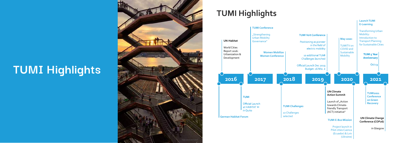# **TUMI Highlights**



# **TUMI Highlights**

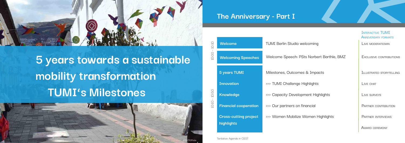

**5 years towards a sustainable mobility transformation TUMI's Milestones**





# **The Anniversary - Part I**

Tentative Agenda in CEST

Interactive TUMI Anniversary formats

Live moderatiown

# Exclusive contributions

Illustrated storytelling

LIVE CHAT

Live surveys

PARTNER CONTRIBUTION

Partner interviews

Award ceremony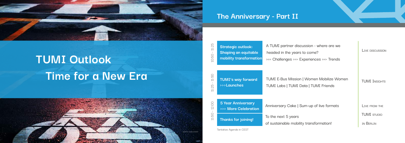# **TUMI Outlook Time for a New Era**



25



- A TUMI partner discussion where are we
	-
	- nces >>> Trends

nen Mobilize Women UMI Friends

of live formats



# **The Anniversary - Part II**

| $10:50 - 11:25$ | <b>Strategic outlook:</b><br><b>Shaping an equitable</b><br>mobility transformation | A TUMI partner discussion - where are<br>headed in the years to come?<br>>>> Challenges >>> Experiences >>> Tre |
|-----------------|-------------------------------------------------------------------------------------|-----------------------------------------------------------------------------------------------------------------|
| 11:50<br>11:25  | <b>TUMI's way forward</b><br>>>>Launches                                            | <b>TUMI E-Bus Mission   Women Mobilize</b><br>TUMI Labs   TUMI Data   TUMI Friend                               |
| $-12:00$        | <b>5 Year Anniversary</b><br>>>> More Celebration                                   | Anniversary Cake   Sum-up of live form                                                                          |
| $11:50 -$       | <b>Thanks for joining!</b>                                                          | To the next 5 years<br>of sustainable mobility transformation!                                                  |

Tentative Agenda in CEST

# Live discussion

# **TUMI INSIGHTS**

Live from the

TUMI studio

in Berlin